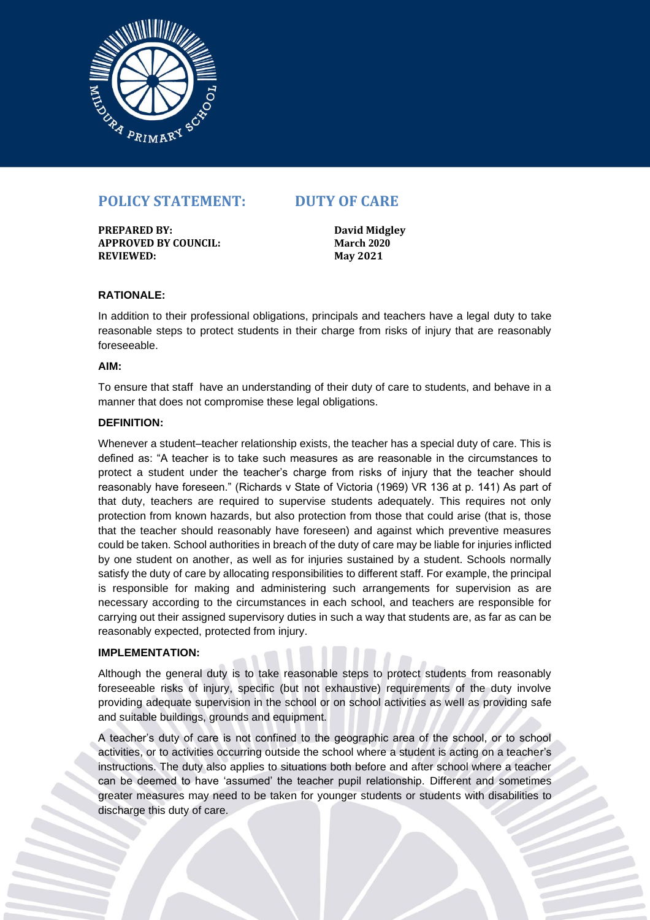

# **POLICY STATEMENT: DUTY OF CARE**

**PREPARED BY: David Midgley APPROVED BY COUNCIL: March 2020 REVIEWED: May 2021**

## **RATIONALE:**

In addition to their professional obligations, principals and teachers have a legal duty to take reasonable steps to protect students in their charge from risks of injury that are reasonably foreseeable.

#### **AIM:**

To ensure that staff have an understanding of their duty of care to students, and behave in a manner that does not compromise these legal obligations.

### **DEFINITION:**

Whenever a student–teacher relationship exists, the teacher has a special duty of care. This is defined as: "A teacher is to take such measures as are reasonable in the circumstances to protect a student under the teacher's charge from risks of injury that the teacher should reasonably have foreseen." (Richards v State of Victoria (1969) VR 136 at p. 141) As part of that duty, teachers are required to supervise students adequately. This requires not only protection from known hazards, but also protection from those that could arise (that is, those that the teacher should reasonably have foreseen) and against which preventive measures could be taken. School authorities in breach of the duty of care may be liable for injuries inflicted by one student on another, as well as for injuries sustained by a student. Schools normally satisfy the duty of care by allocating responsibilities to different staff. For example, the principal is responsible for making and administering such arrangements for supervision as are necessary according to the circumstances in each school, and teachers are responsible for carrying out their assigned supervisory duties in such a way that students are, as far as can be reasonably expected, protected from injury.

### **IMPLEMENTATION:**

Although the general duty is to take reasonable steps to protect students from reasonably foreseeable risks of injury, specific (but not exhaustive) requirements of the duty involve providing adequate supervision in the school or on school activities as well as providing safe and suitable buildings, grounds and equipment.

A teacher's duty of care is not confined to the geographic area of the school, or to school activities, or to activities occurring outside the school where a student is acting on a teacher's instructions. The duty also applies to situations both before and after school where a teacher can be deemed to have 'assumed' the teacher pupil relationship. Different and sometimes greater measures may need to be taken for younger students or students with disabilities to discharge this duty of care.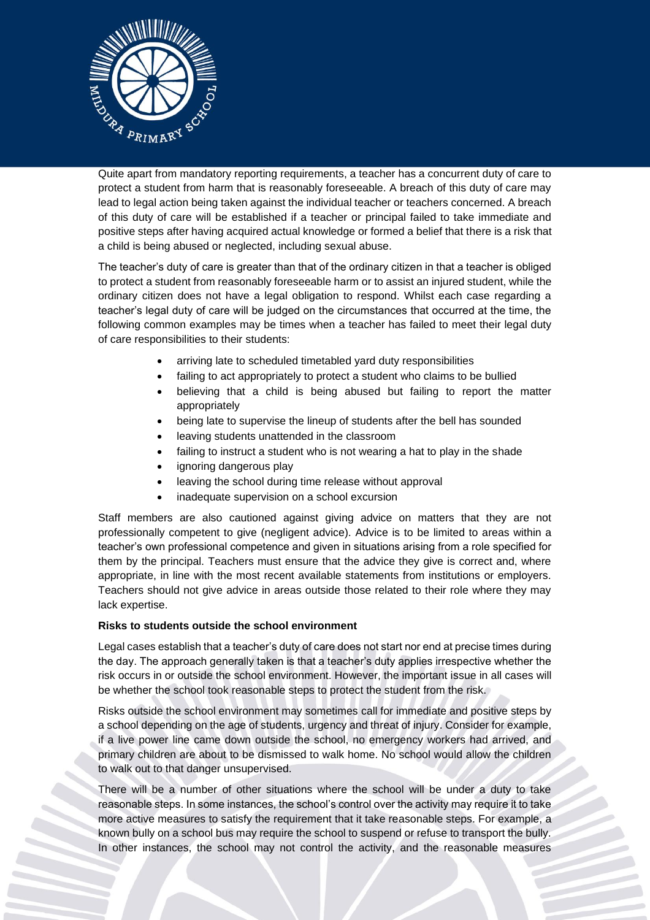

Quite apart from mandatory reporting requirements, a teacher has a concurrent duty of care to protect a student from harm that is reasonably foreseeable. A breach of this duty of care may lead to legal action being taken against the individual teacher or teachers concerned. A breach of this duty of care will be established if a teacher or principal failed to take immediate and positive steps after having acquired actual knowledge or formed a belief that there is a risk that a child is being abused or neglected, including sexual abuse.

The teacher's duty of care is greater than that of the ordinary citizen in that a teacher is obliged to protect a student from reasonably foreseeable harm or to assist an injured student, while the ordinary citizen does not have a legal obligation to respond. Whilst each case regarding a teacher's legal duty of care will be judged on the circumstances that occurred at the time, the following common examples may be times when a teacher has failed to meet their legal duty of care responsibilities to their students:

- arriving late to scheduled timetabled yard duty responsibilities
- failing to act appropriately to protect a student who claims to be bullied
- believing that a child is being abused but failing to report the matter appropriately
- being late to supervise the lineup of students after the bell has sounded
- leaving students unattended in the classroom
- failing to instruct a student who is not wearing a hat to play in the shade
- ignoring dangerous play
- leaving the school during time release without approval
- inadequate supervision on a school excursion

Staff members are also cautioned against giving advice on matters that they are not professionally competent to give (negligent advice). Advice is to be limited to areas within a teacher's own professional competence and given in situations arising from a role specified for them by the principal. Teachers must ensure that the advice they give is correct and, where appropriate, in line with the most recent available statements from institutions or employers. Teachers should not give advice in areas outside those related to their role where they may lack expertise.

### **Risks to students outside the school environment**

Legal cases establish that a teacher's duty of care does not start nor end at precise times during the day. The approach generally taken is that a teacher's duty applies irrespective whether the risk occurs in or outside the school environment. However, the important issue in all cases will be whether the school took reasonable steps to protect the student from the risk.

Risks outside the school environment may sometimes call for immediate and positive steps by a school depending on the age of students, urgency and threat of injury. Consider for example, if a live power line came down outside the school, no emergency workers had arrived, and primary children are about to be dismissed to walk home. No school would allow the children to walk out to that danger unsupervised.

There will be a number of other situations where the school will be under a duty to take reasonable steps. In some instances, the school's control over the activity may require it to take more active measures to satisfy the requirement that it take reasonable steps. For example, a known bully on a school bus may require the school to suspend or refuse to transport the bully. In other instances, the school may not control the activity, and the reasonable measures